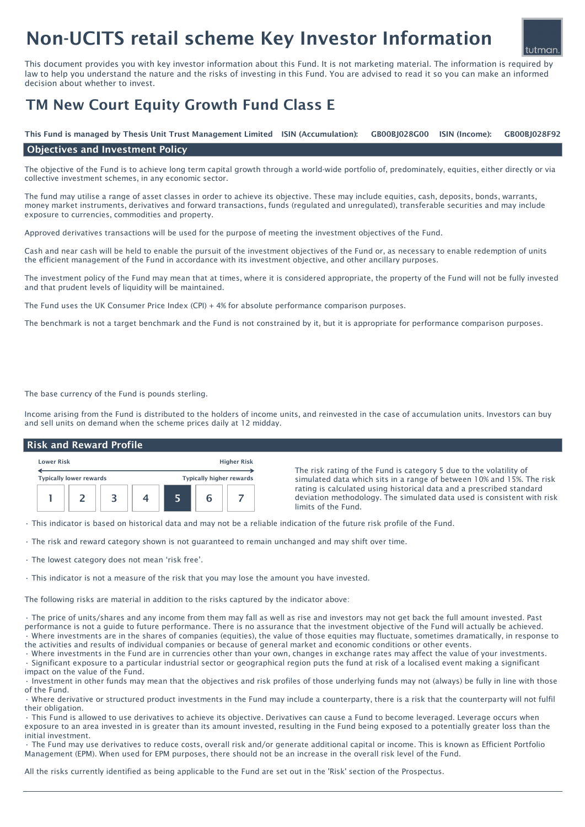# Non-UCITS retail scheme Key Investor Information

This document provides you with key investor information about this Fund. It is not marketing material. The information is required by law to help you understand the nature and the risks of investing in this Fund. You are advised to read it so you can make an informed decision about whether to invest.

## TM New Court Equity Growth Fund Class E

ISIN (Income): This Fund is managed by Thesis Unit Trust Management Limited ISIN (Accumulation): GB00BJ028G00 ISIN (Income): GB00BJ028F92

#### Objectives and Investment Policy

The objective of the Fund is to achieve long term capital growth through a world-wide portfolio of, predominately, equities, either directly or via collective investment schemes, in any economic sector.

The fund may utilise a range of asset classes in order to achieve its objective. These may include equities, cash, deposits, bonds, warrants, money market instruments, derivatives and forward transactions, funds (regulated and unregulated), transferable securities and may include exposure to currencies, commodities and property.

Approved derivatives transactions will be used for the purpose of meeting the investment objectives of the Fund.

Cash and near cash will be held to enable the pursuit of the investment objectives of the Fund or, as necessary to enable redemption of units the efficient management of the Fund in accordance with its investment objective, and other ancillary purposes.

The investment policy of the Fund may mean that at times, where it is considered appropriate, the property of the Fund will not be fully invested and that prudent levels of liquidity will be maintained.

The Fund uses the UK Consumer Price Index (CPI) + 4% for absolute performance comparison purposes.

The benchmark is not a target benchmark and the Fund is not constrained by it, but it is appropriate for performance comparison purposes.

The base currency of the Fund is pounds sterling.

Income arising from the Fund is distributed to the holders of income units, and reinvested in the case of accumulation units. Investors can buy and sell units on demand when the scheme prices daily at 12 midday.

#### Risk and Reward Profile



The risk rating of the Fund is category 5 due to the volatility of simulated data which sits in a range of between 10% and 15%. The risk rating is calculated using historical data and a prescribed standard deviation methodology. The simulated data used is consistent with risk limits of the Fund.

• This indicator is based on historical data and may not be a reliable indication of the future risk profile of the Fund.

- The risk and reward category shown is not guaranteed to remain unchanged and may shift over time.
- The lowest category does not mean 'risk free'.
- This indicator is not a measure of the risk that you may lose the amount you have invested.

The following risks are material in addition to the risks captured by the indicator above:

• The price of units/shares and any income from them may fall as well as rise and investors may not get back the full amount invested. Past performance is not a guide to future performance. There is no assurance that the investment objective of the Fund will actually be achieved. • Where investments are in the shares of companies (equities), the value of those equities may fluctuate, sometimes dramatically, in response to the activities and results of individual companies or because of general market and economic conditions or other events.

• Where investments in the Fund are in currencies other than your own, changes in exchange rates may affect the value of your investments. • Significant exposure to a particular industrial sector or geographical region puts the fund at risk of a localised event making a significant impact on the value of the Fund.

• Investment in other funds may mean that the objectives and risk profiles of those underlying funds may not (always) be fully in line with those of the Fund.

• Where derivative or structured product investments in the Fund may include a counterparty, there is a risk that the counterparty will not fulfil their obligation.

• This Fund is allowed to use derivatives to achieve its objective. Derivatives can cause a Fund to become leveraged. Leverage occurs when exposure to an area invested in is greater than its amount invested, resulting in the Fund being exposed to a potentially greater loss than the initial investment.

• The Fund may use derivatives to reduce costs, overall risk and/or generate additional capital or income. This is known as Efficient Portfolio Management (EPM). When used for EPM purposes, there should not be an increase in the overall risk level of the Fund.

All the risks currently identified as being applicable to the Fund are set out in the 'Risk' section of the Prospectus.